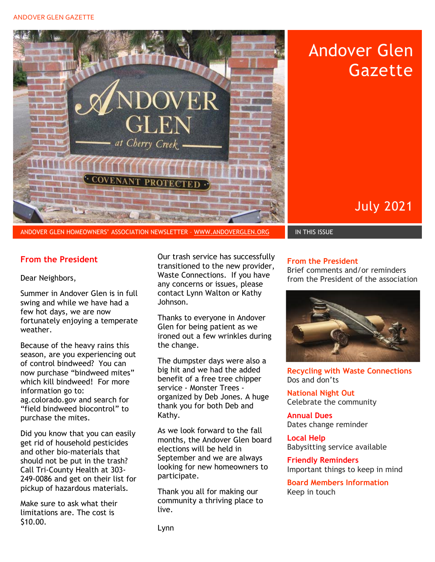#### ANDOVER GLEN GAZETTE



# Andover Glen **Gazette**

July 2021

#### **From the President**

#### Dear Neighbors,

Summer in Andover Glen is in full swing and while we have had a few hot days, we are now fortunately enjoying a temperate weather.

Because of the heavy rains this season, are you experiencing out of control bindweed? You can now purchase "bindweed mites" which kill bindweed! For more information go to: ag.colorado.gov and search for "field bindweed biocontrol" to purchase the mites.

Did you know that you can easily get rid of household pesticides and other bio-materials that should not be put in the trash? Call Tri-County Health at 303- 249-0086 and get on their list for pickup of hazardous materials.

Make sure to ask what their limitations are. The cost is \$10.00.

Our trash service has successfully transitioned to the new provider, Waste Connections. If you have any concerns or issues, please contact Lynn Walton or Kathy Johnson.

Thanks to everyone in Andover Glen for being patient as we ironed out a few wrinkles during the change.

The dumpster days were also a big hit and we had the added benefit of a free tree chipper service - Monster Trees organized by Deb Jones. A huge thank you for both Deb and Kathy.

As we look forward to the fall months, the Andover Glen board elections will be held in September and we are always looking for new homeowners to participate.

Thank you all for making our community a thriving place to live.

#### **From the President**

Brief comments and/or reminders from the President of the association



**Recycling with Waste Connections** Dos and don'ts

**National Night Out** Celebrate the community

**Annual Dues**  Dates change reminder

**Local Help**  Babysitting service available

**Friendly Reminders**  Important things to keep in mind

**Board Members Information**  Keep in touch